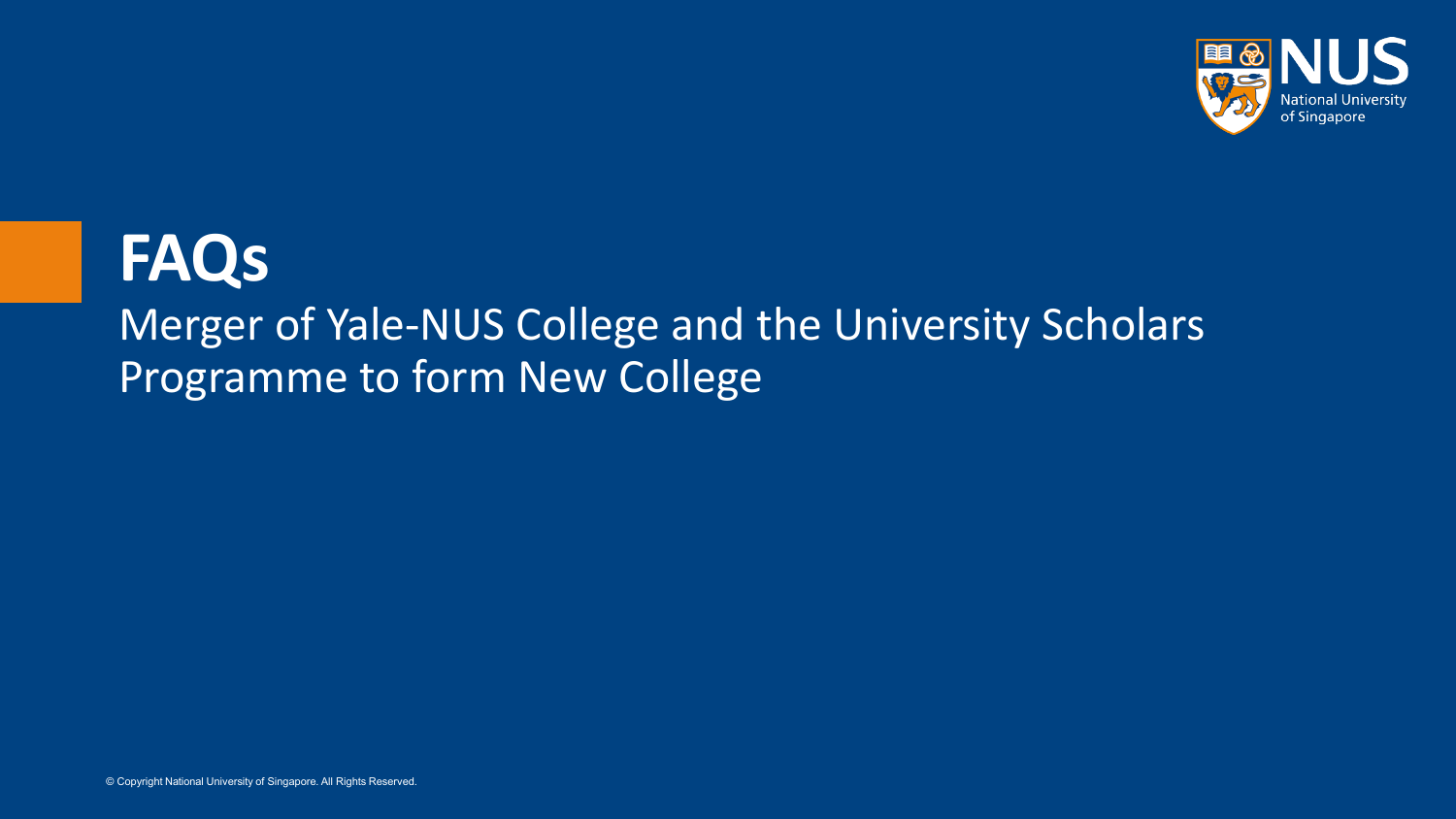

### **FAQs** Merger of Yale-NUS College and the University Scholars Programme to form New College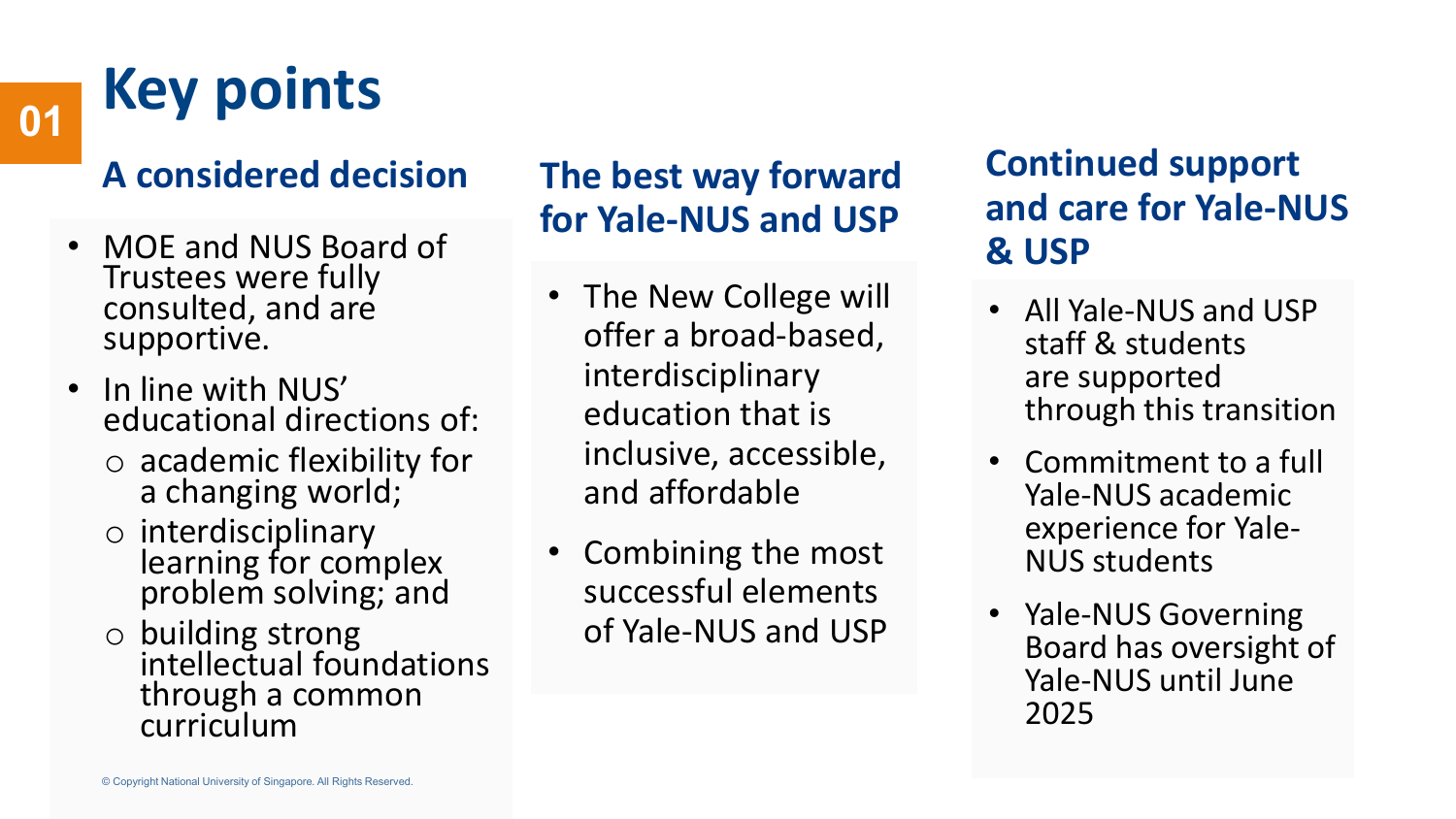# **Key points <sup>01</sup>**

### **A considered decision**

- MOE and NUS Board of Trustees were fully consulted, and are supportive.
- In line with NUS' educational directions of:
	- o academic flexibility for a changing world;
	- o interdisciplinary learning for complex problem solving; and
	- o building strong intellectual foundations through a common curriculum

### **The best way forward for Yale-NUS and USP**

- The New College will offer a broad-based, interdisciplinary education that is inclusive, accessible, and affordable
- Combining the most successful elements of Yale-NUS and USP

### **Continued support and care for Yale-NUS & USP**

- All Yale-NUS and USP staff & students are supported through this transition
- Commitment to a full Yale-NUS academic experience for Yale- NUS students
- Yale-NUS Governing Board has oversight of Yale-NUS until June 2025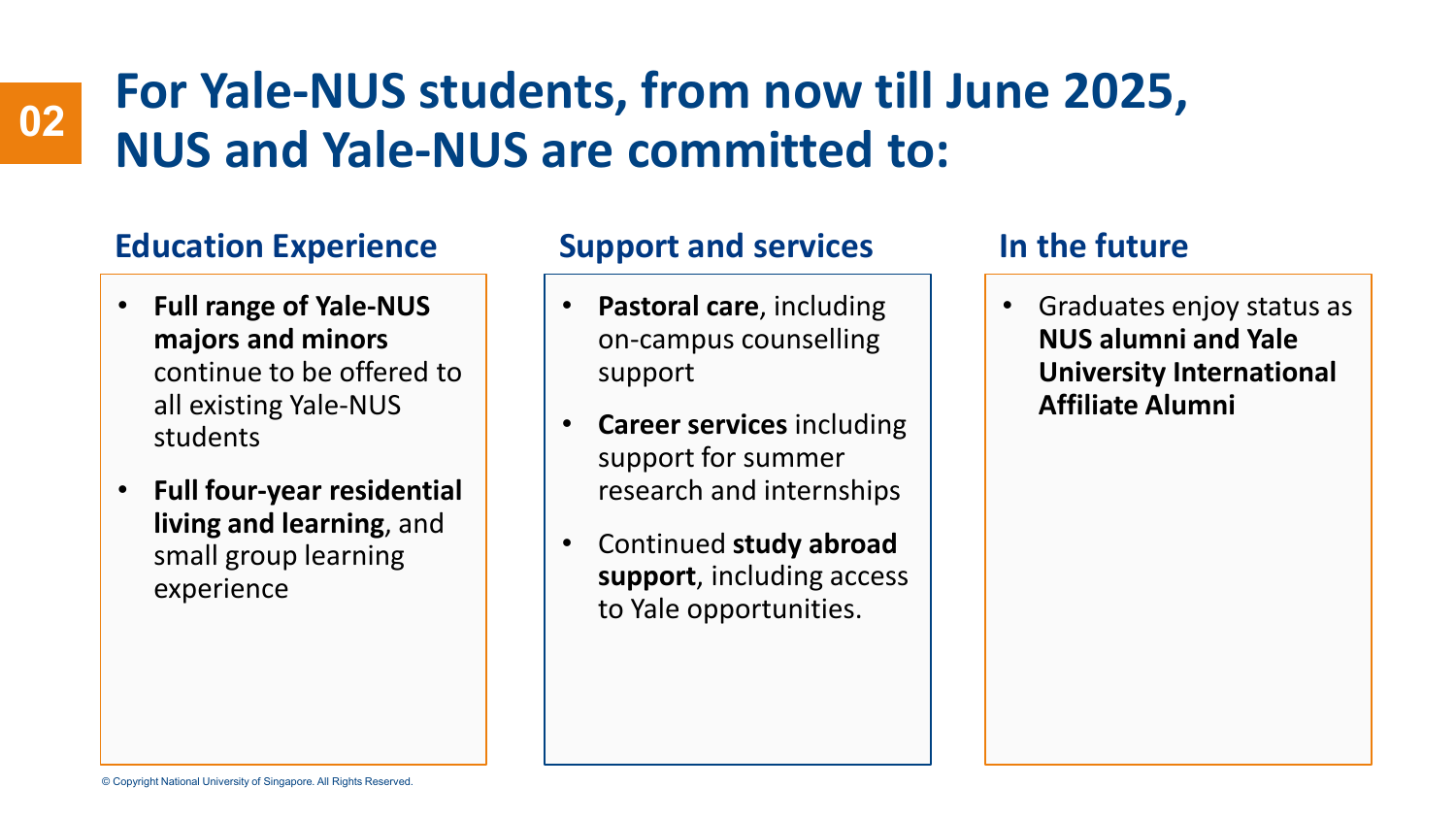### **For Yale-NUS students, from now till June 2025, NUS and Yale-NUS are committed to: <sup>02</sup>**

### **Education Experience Support and services**

- **Full range of Yale-NUS majors and minors**  continue to be offered to all existing Yale-NUS students
- **Full four-year residential living and learning**, and small group learning experience

- **Pastoral care**, including on-campus counselling support
- **Career services** including support for summer research and internships
- Continued **study abroad support**, including access to Yale opportunities.

### **In the future**

• Graduates enjoy status as **NUS alumni and Yale University International Affiliate Alumni**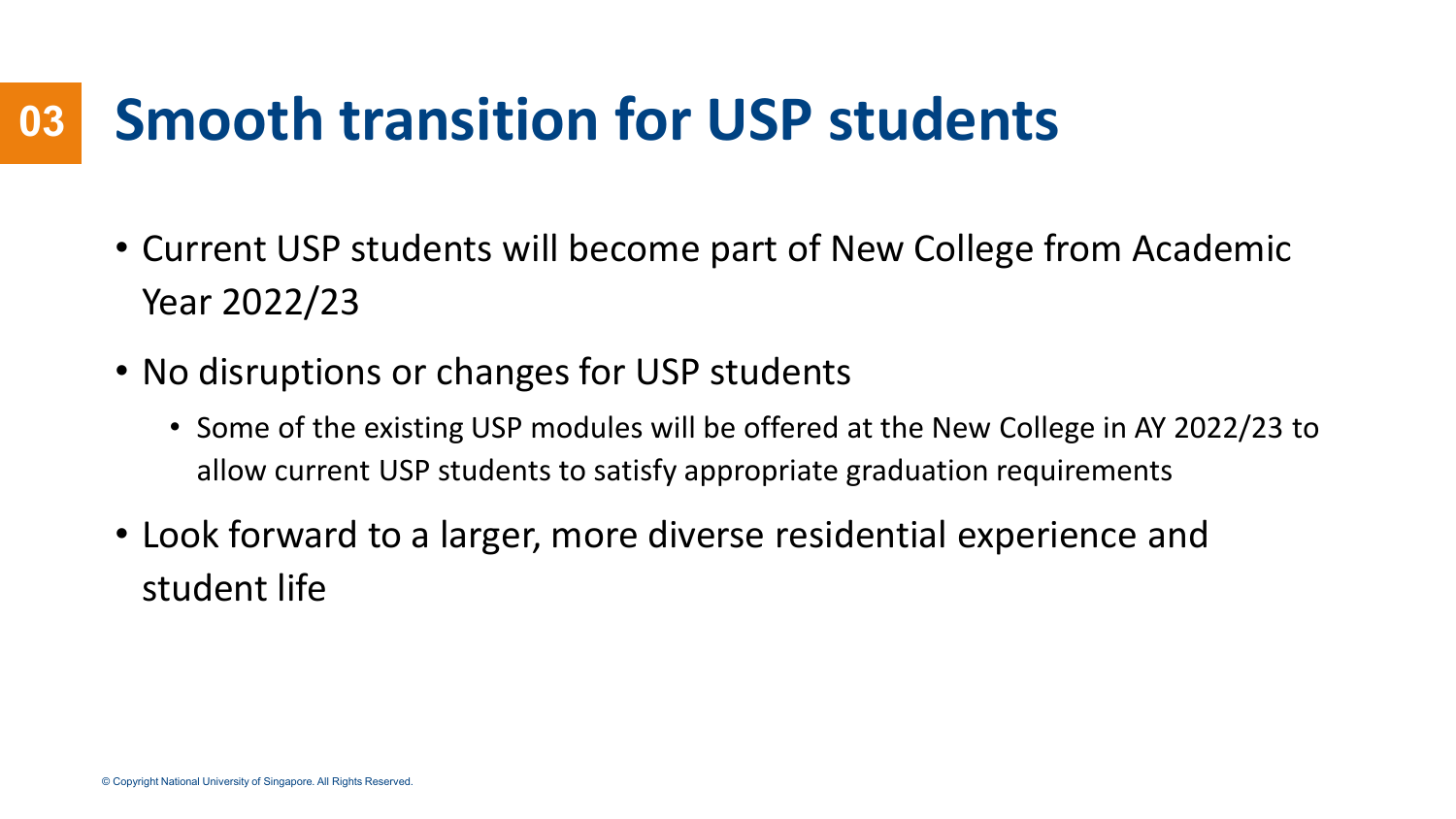### **Smooth transition for USP students 03**

- Current USP students will become part of New College from Academic Year 2022/23
- No disruptions or changes for USP students
	- Some of the existing USP modules will be offered at the New College in AY 2022/23 to allow current USP students to satisfy appropriate graduation requirements
- Look forward to a larger, more diverse residential experience and student life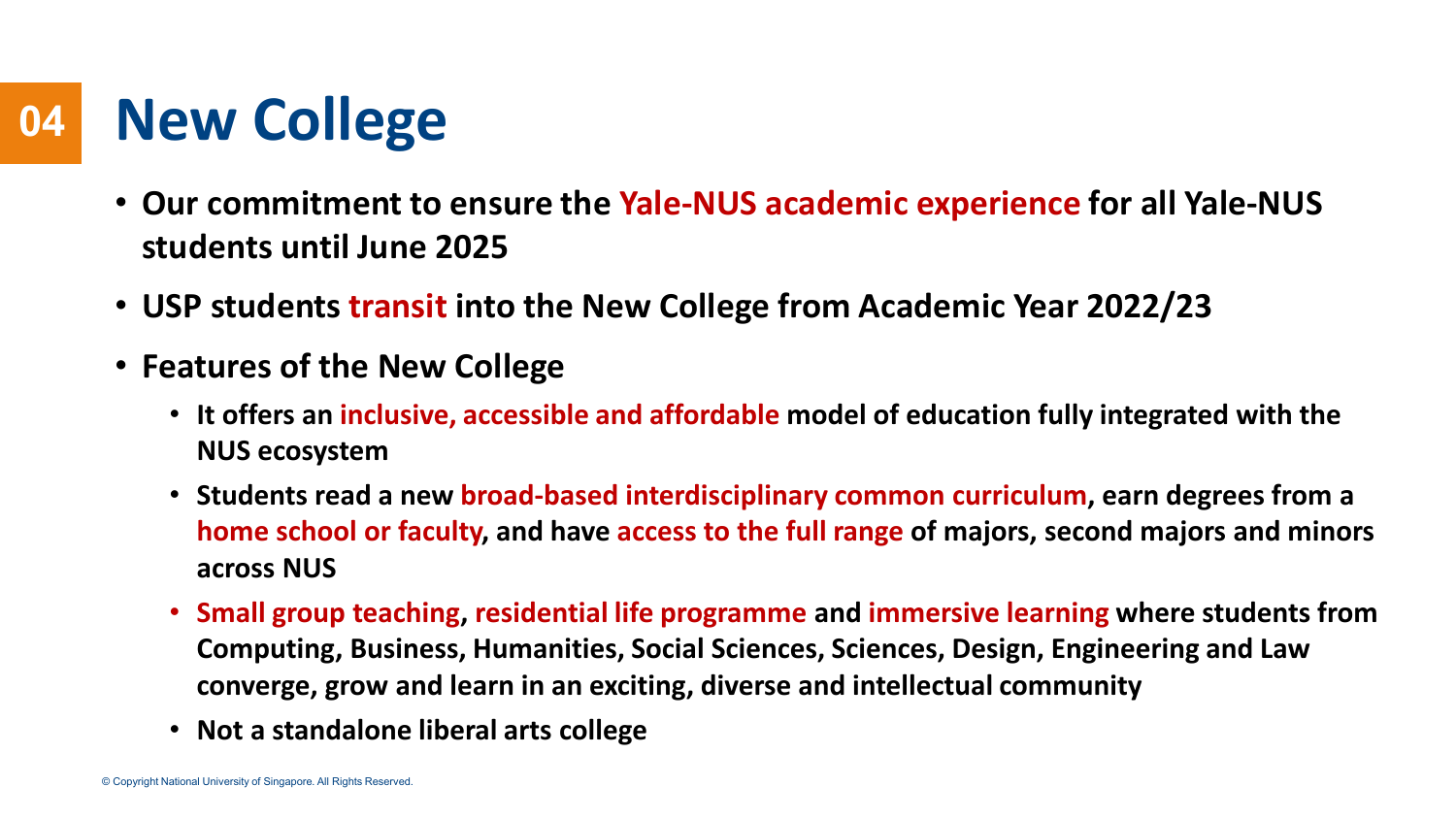### **New College 04**

- **Our commitment to ensure the Yale-NUS academic experience for all Yale-NUS students until June 2025**
- **USP students transit into the New College from Academic Year 2022/23**
- **Features of the New College**
	- **It offers an inclusive, accessible and affordable model of education fully integrated with the NUS ecosystem**
	- **Students read a new broad-based interdisciplinary common curriculum, earn degrees from a home school or faculty, and have access to the full range of majors, second majors and minors across NUS**
	- **Small group teaching, residential life programme and immersive learning where students from Computing, Business, Humanities, Social Sciences, Sciences, Design, Engineering and Law converge, grow and learn in an exciting, diverse and intellectual community**
	- **Not a standalone liberal arts college**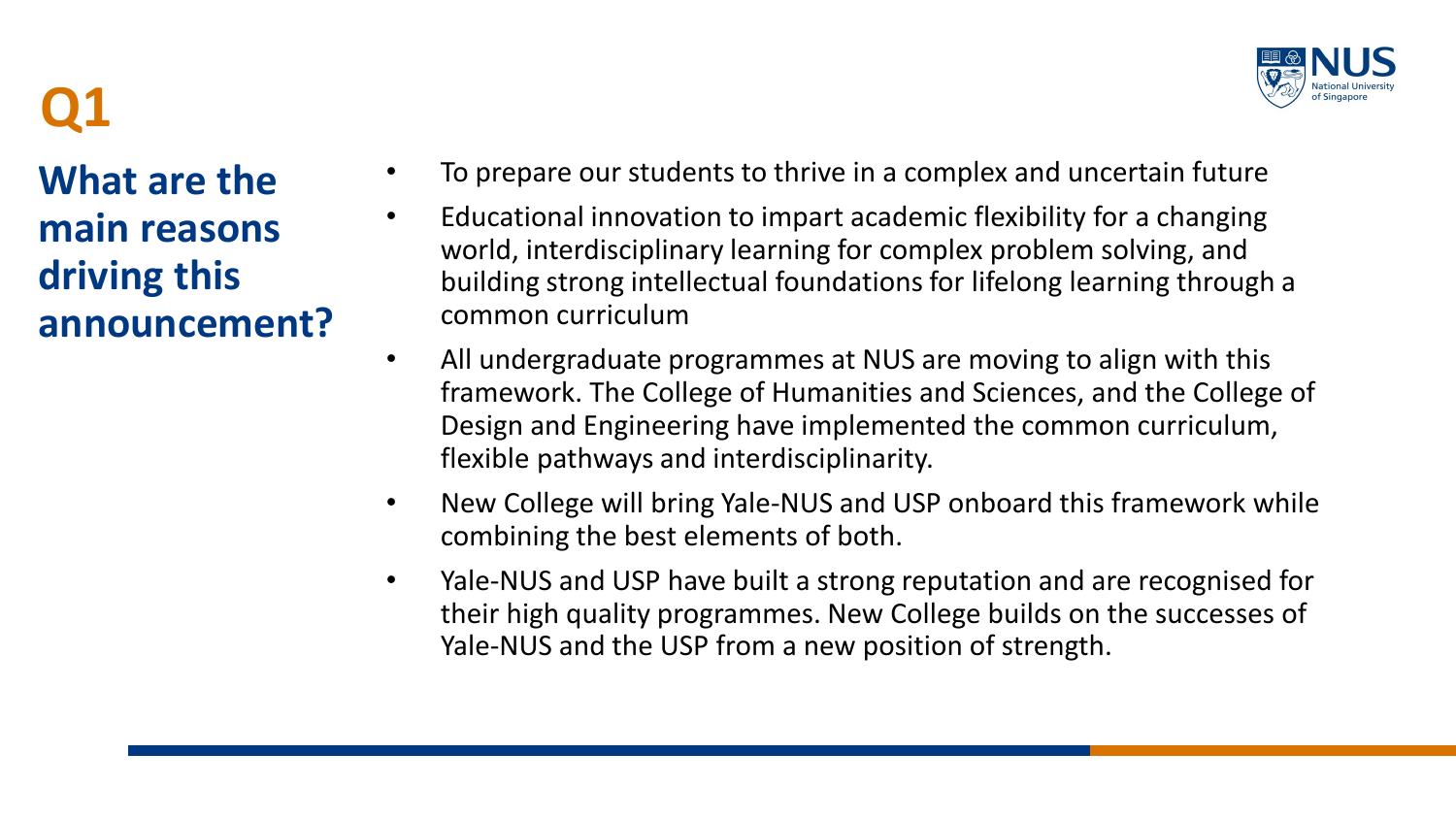

**What are the main reasons driving this announcement?**

- To prepare our students to thrive in a complex and uncertain future
- Educational innovation to impart academic flexibility for a changing world, interdisciplinary learning for complex problem solving, and building strong intellectual foundations for lifelong learning through a common curriculum
- All undergraduate programmes at NUS are moving to align with this framework. The College of Humanities and Sciences, and the College of Design and Engineering have implemented the common curriculum, flexible pathways and interdisciplinarity.
- New College will bring Yale-NUS and USP onboard this framework while combining the best elements of both.
- Yale-NUS and USP have built a strong reputation and are recognised for their high quality programmes. New College builds on the successes of Yale-NUS and the USP from a new position of strength.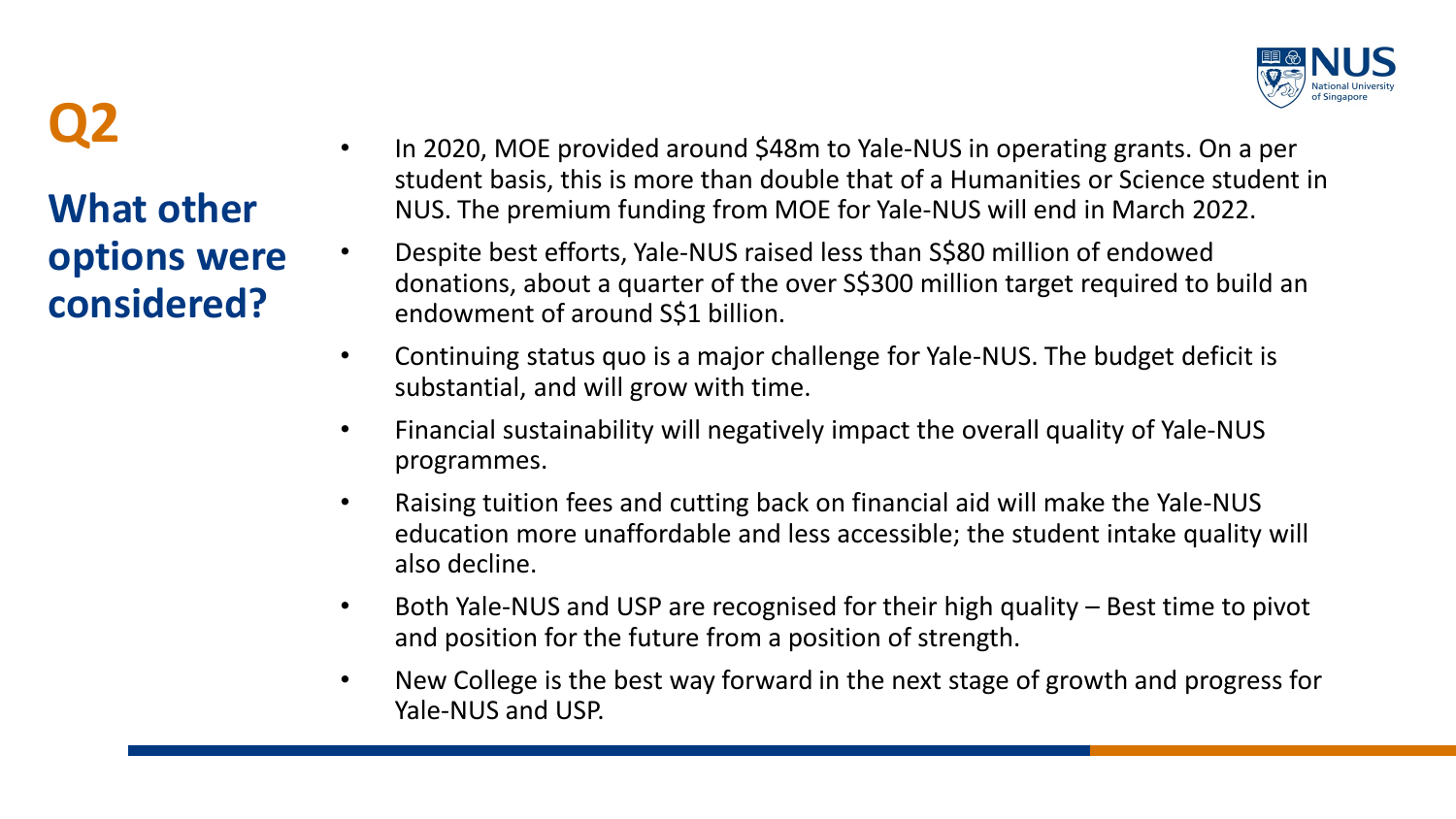

**What other options were considered?**

- **Q2** In 2020, MOE provided around \$48m to Yale-NUS in operating grants. On a per student basis, this is more than double that of a Humanities or Science student in NUS. The premium funding from MOE for Yale-NUS will end in March 2022.
- Despite best efforts, Yale-NUS raised less than S\$80 million of endowed donations, about a quarter of the over S\$300 million target required to build an endowment of around S\$1 billion.
- Continuing status quo is a major challenge for Yale-NUS. The budget deficit is substantial, and will grow with time.
- Financial sustainability will negatively impact the overall quality of Yale-NUS programmes.
- Raising tuition fees and cutting back on financial aid will make the Yale-NUS education more unaffordable and less accessible; the student intake quality will also decline.
- Both Yale-NUS and USP are recognised for their high quality Best time to pivot and position for the future from a position of strength.
- New College is the best way forward in the next stage of growth and progress for Yale-NUS and USP.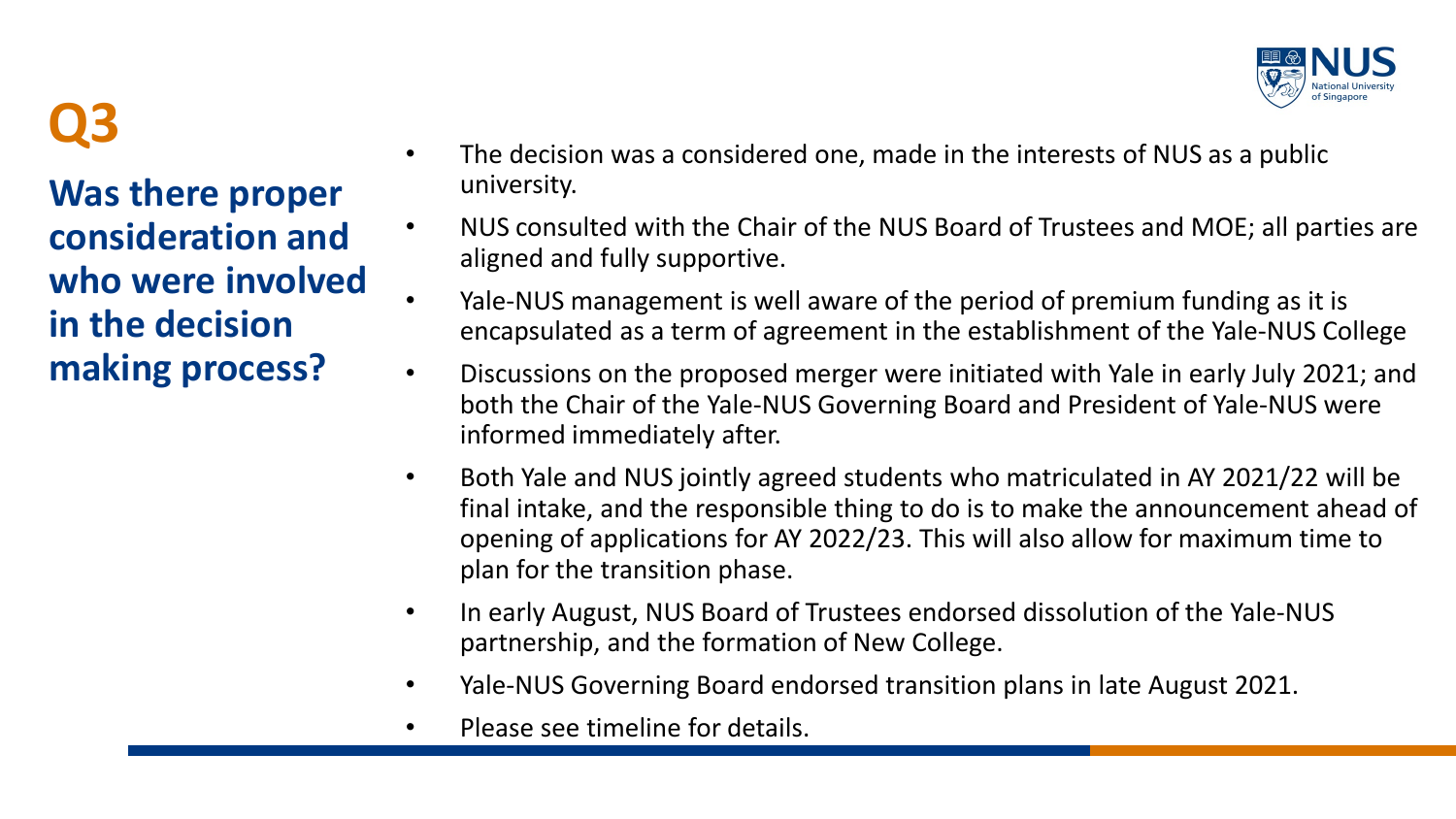

**Was there proper consideration and who were involved in the decision making process?**

- **Q3** The decision was a considered one, made in the interests of NUS as a public university.
	- NUS consulted with the Chair of the NUS Board of Trustees and MOE; all parties are aligned and fully supportive.
	- Yale-NUS management is well aware of the period of premium funding as it is encapsulated as a term of agreement in the establishment of the Yale-NUS College
	- Discussions on the proposed merger were initiated with Yale in early July 2021; and both the Chair of the Yale-NUS Governing Board and President of Yale-NUS were informed immediately after.
	- Both Yale and NUS jointly agreed students who matriculated in AY 2021/22 will be final intake, and the responsible thing to do is to make the announcement ahead of opening of applications for AY 2022/23. This will also allow for maximum time to plan for the transition phase.
	- In early August, NUS Board of Trustees endorsed dissolution of the Yale-NUS partnership, and the formation of New College.
	- Yale-NUS Governing Board endorsed transition plans in late August 2021.
	- Please see timeline for details.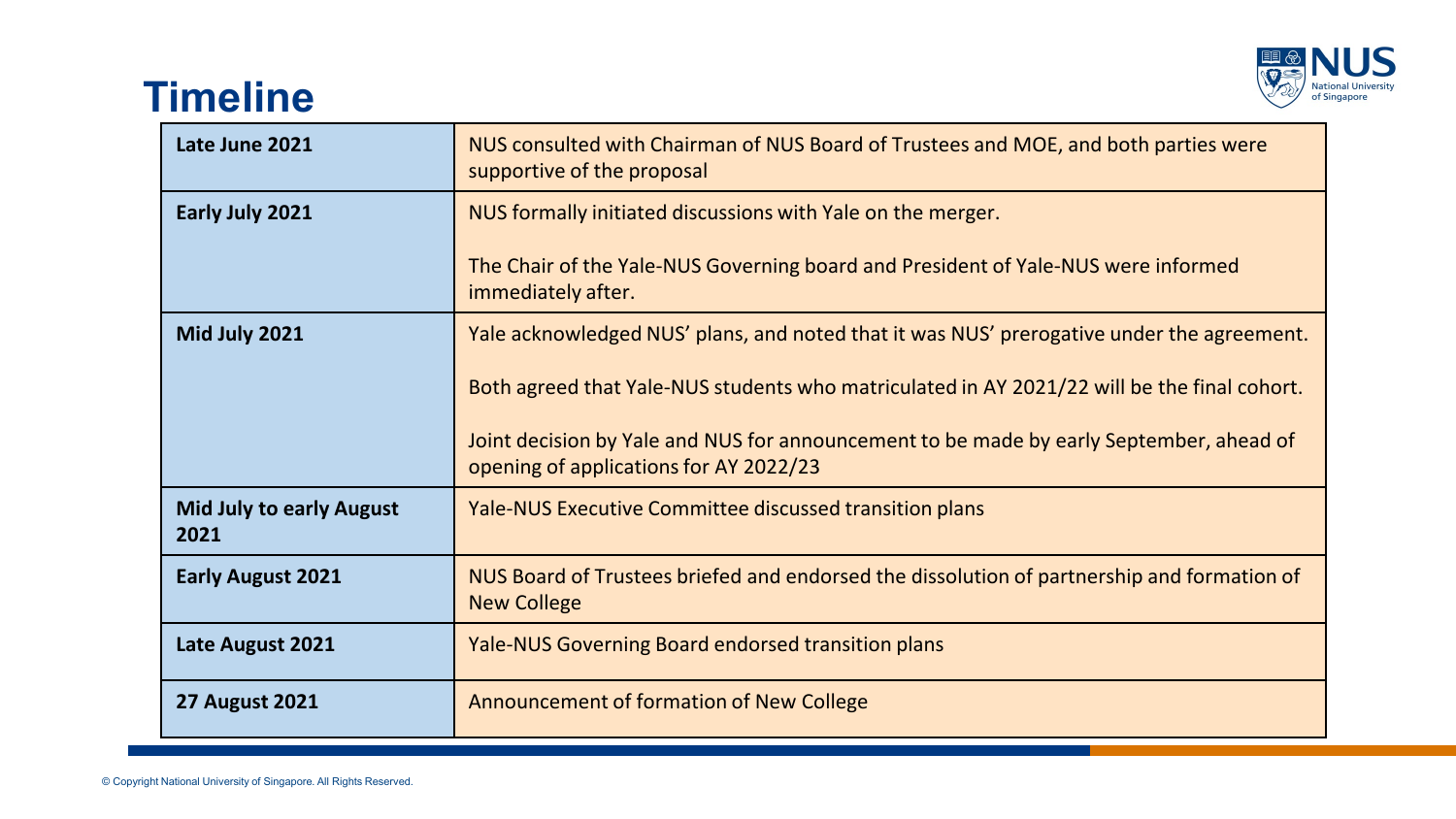

### **Timeline**

| Late June 2021                          | NUS consulted with Chairman of NUS Board of Trustees and MOE, and both parties were<br>supportive of the proposal                 |
|-----------------------------------------|-----------------------------------------------------------------------------------------------------------------------------------|
| Early July 2021                         | NUS formally initiated discussions with Yale on the merger.                                                                       |
|                                         | The Chair of the Yale-NUS Governing board and President of Yale-NUS were informed<br>immediately after.                           |
| Mid July 2021                           | Yale acknowledged NUS' plans, and noted that it was NUS' prerogative under the agreement.                                         |
|                                         | Both agreed that Yale-NUS students who matriculated in AY 2021/22 will be the final cohort.                                       |
|                                         | Joint decision by Yale and NUS for announcement to be made by early September, ahead of<br>opening of applications for AY 2022/23 |
| <b>Mid July to early August</b><br>2021 | <b>Yale-NUS Executive Committee discussed transition plans</b>                                                                    |
| <b>Early August 2021</b>                | NUS Board of Trustees briefed and endorsed the dissolution of partnership and formation of<br><b>New College</b>                  |
| Late August 2021                        | Yale-NUS Governing Board endorsed transition plans                                                                                |
| <b>27 August 2021</b>                   | Announcement of formation of New College                                                                                          |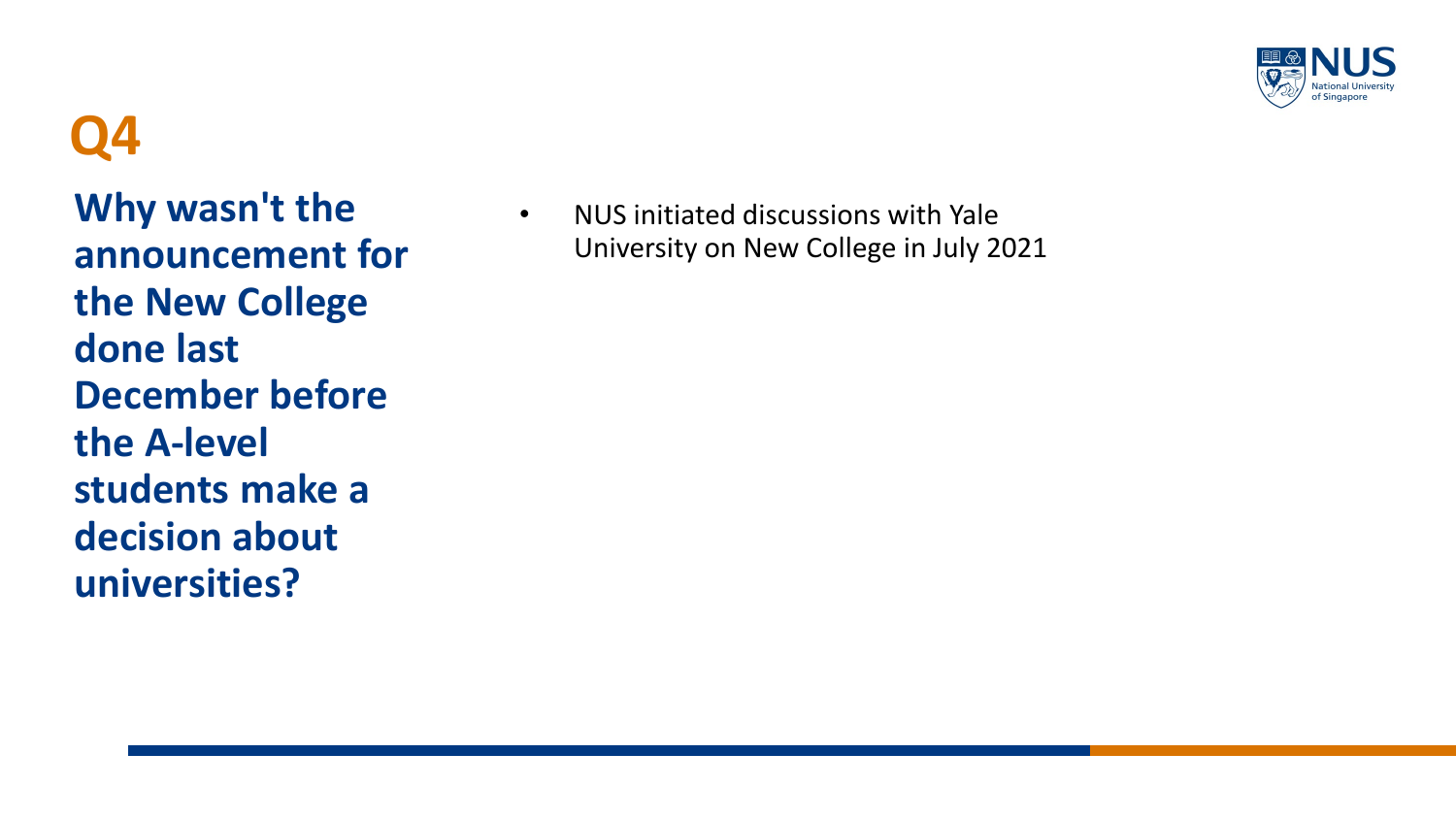

**Why wasn't the announcement for the New College done last December before the A-level students make a decision about universities?**

• NUS initiated discussions with Yale University on New College in July 2021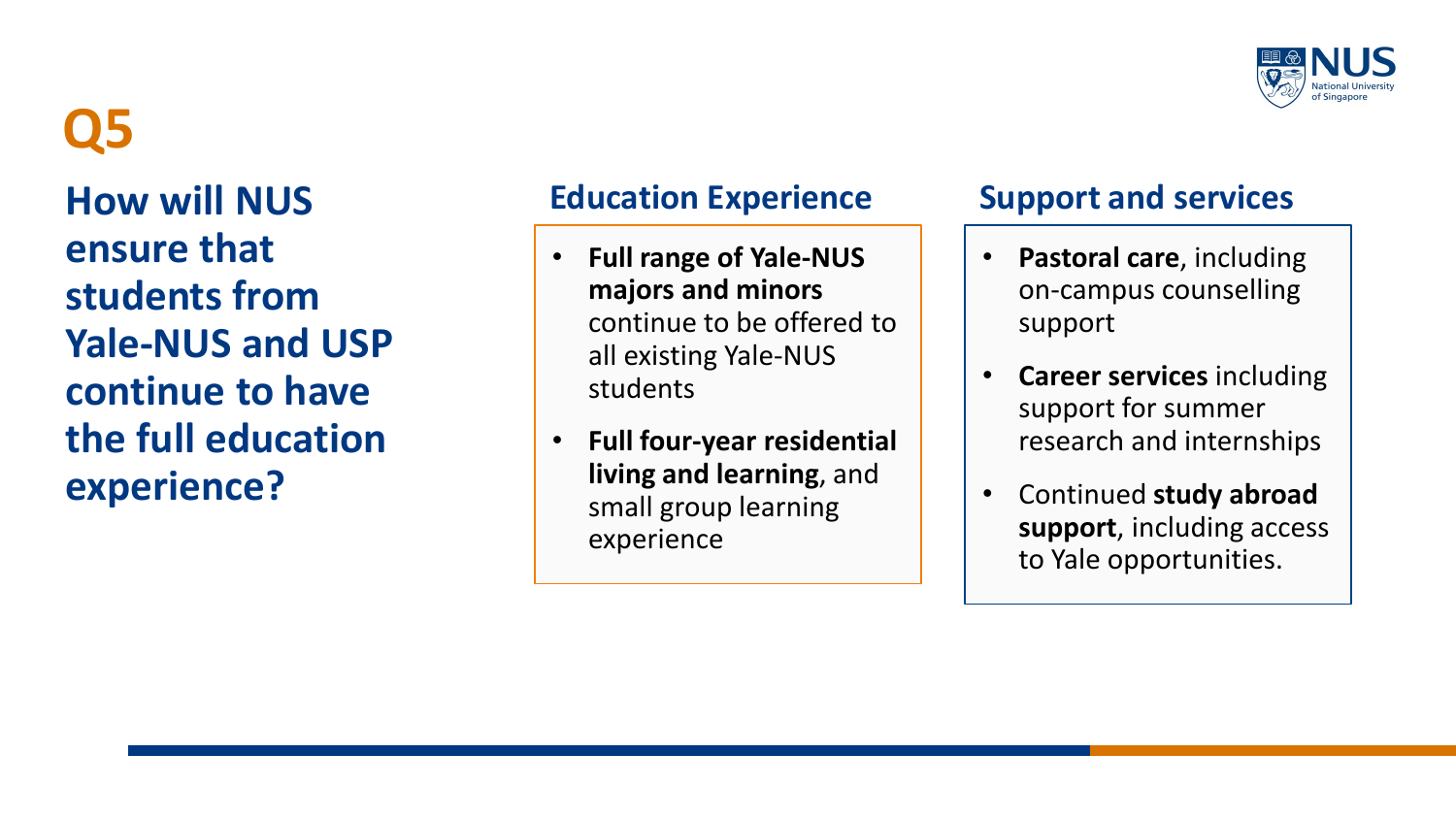

**How will NUS ensure that students from Yale-NUS and USP continue to have the full education experience?**

### **Education Experience Support and services**

- **Full range of Yale-NUS majors and minors**  continue to be offered to all existing Yale-NUS students
- **Full four-year residential living and learning**, and small group learning experience

- **Pastoral care**, including on-campus counselling support
- **Career services** including support for summer research and internships
- Continued **study abroad support**, including access to Yale opportunities.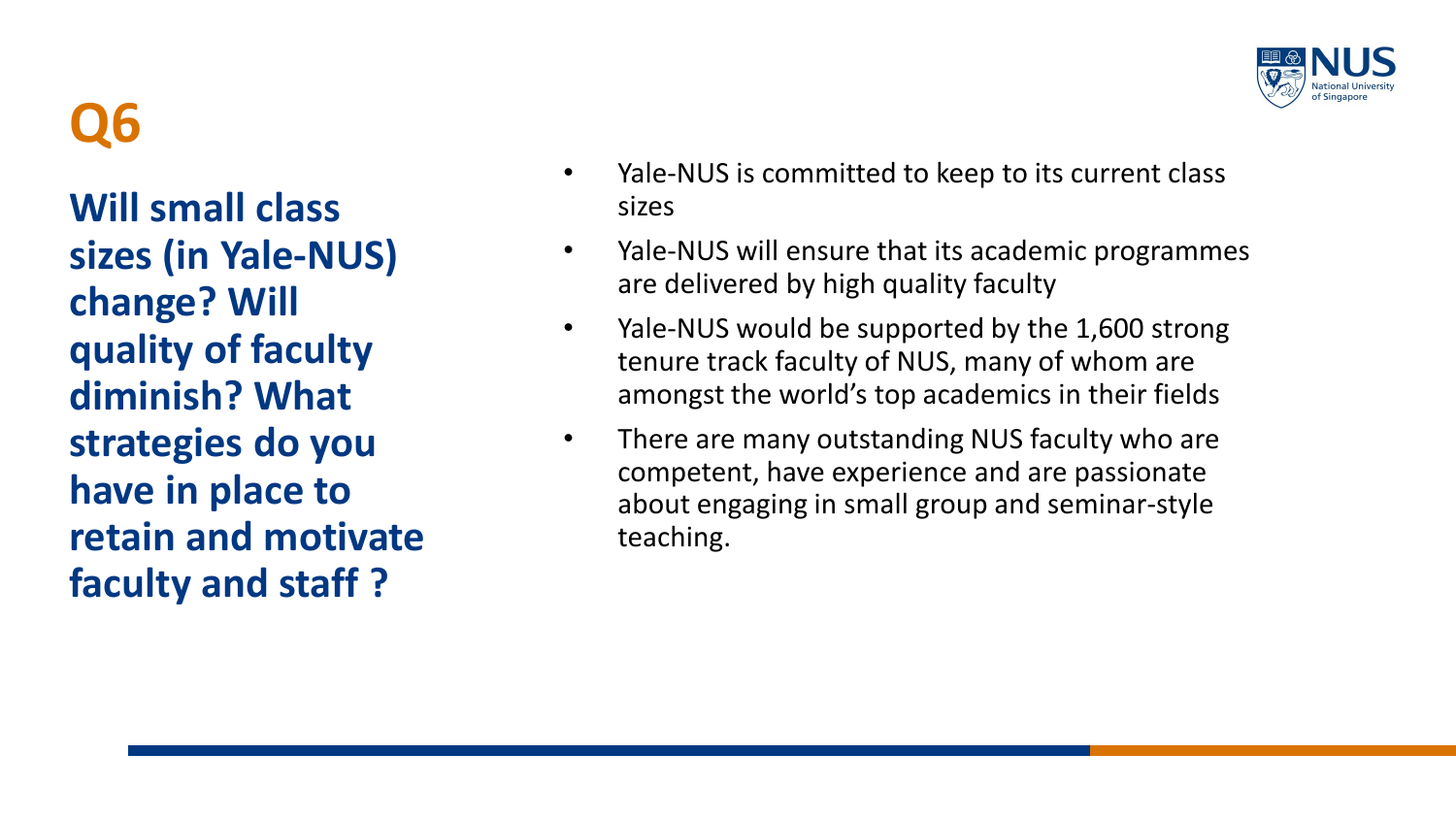**Will small class sizes (in Yale-NUS) change? Will quality of faculty diminish? What strategies do you have in place to retain and motivate faculty and staff ?**

- Yale-NUS is committed to keep to its current class sizes
- Yale-NUS will ensure that its academic programmes are delivered by high quality faculty
- Yale-NUS would be supported by the 1,600 strong tenure track faculty of NUS, many of whom are amongst the world's top academics in their fields
- There are many outstanding NUS faculty who are competent, have experience and are passionate about engaging in small group and seminar-style teaching.

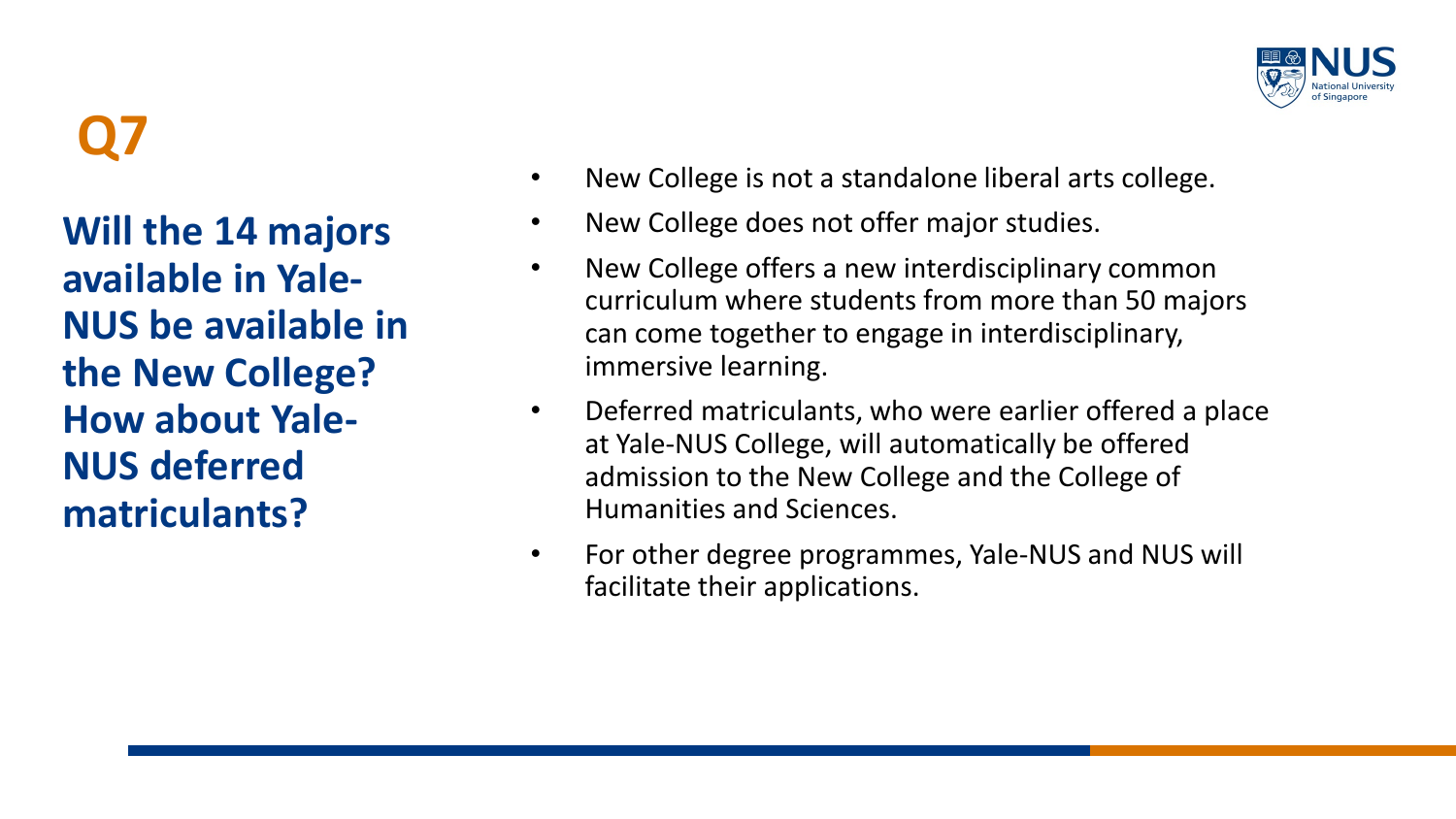**Will the 14 majors available in Yale-NUS be available in the New College? How about Yale-NUS deferred matriculants?**

- New College is not a standalone liberal arts college.
- New College does not offer major studies.
- New College offers a new interdisciplinary common curriculum where students from more than 50 majors can come together to engage in interdisciplinary, immersive learning.
- Deferred matriculants, who were earlier offered a place at Yale-NUS College, will automatically be offered admission to the New College and the College of Humanities and Sciences.
- For other degree programmes, Yale-NUS and NUS will facilitate their applications.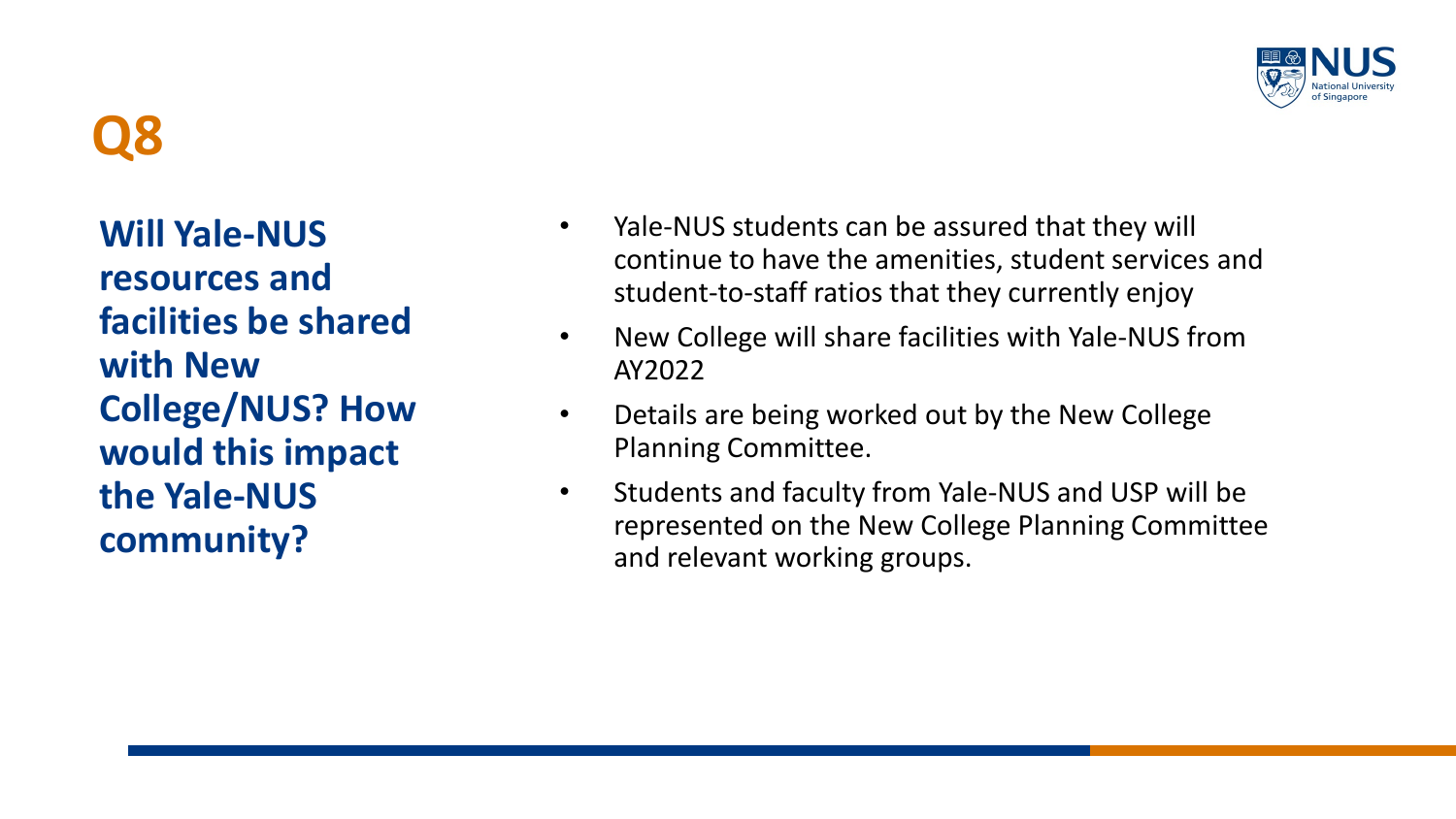

**Will Yale-NUS resources and facilities be shared with New College/NUS? How would this impact the Yale-NUS community?**

- Yale-NUS students can be assured that they will continue to have the amenities, student services and student-to-staff ratios that they currently enjoy
- New College will share facilities with Yale-NUS from AY2022
- Details are being worked out by the New College Planning Committee.
- Students and faculty from Yale-NUS and USP will be represented on the New College Planning Committee and relevant working groups.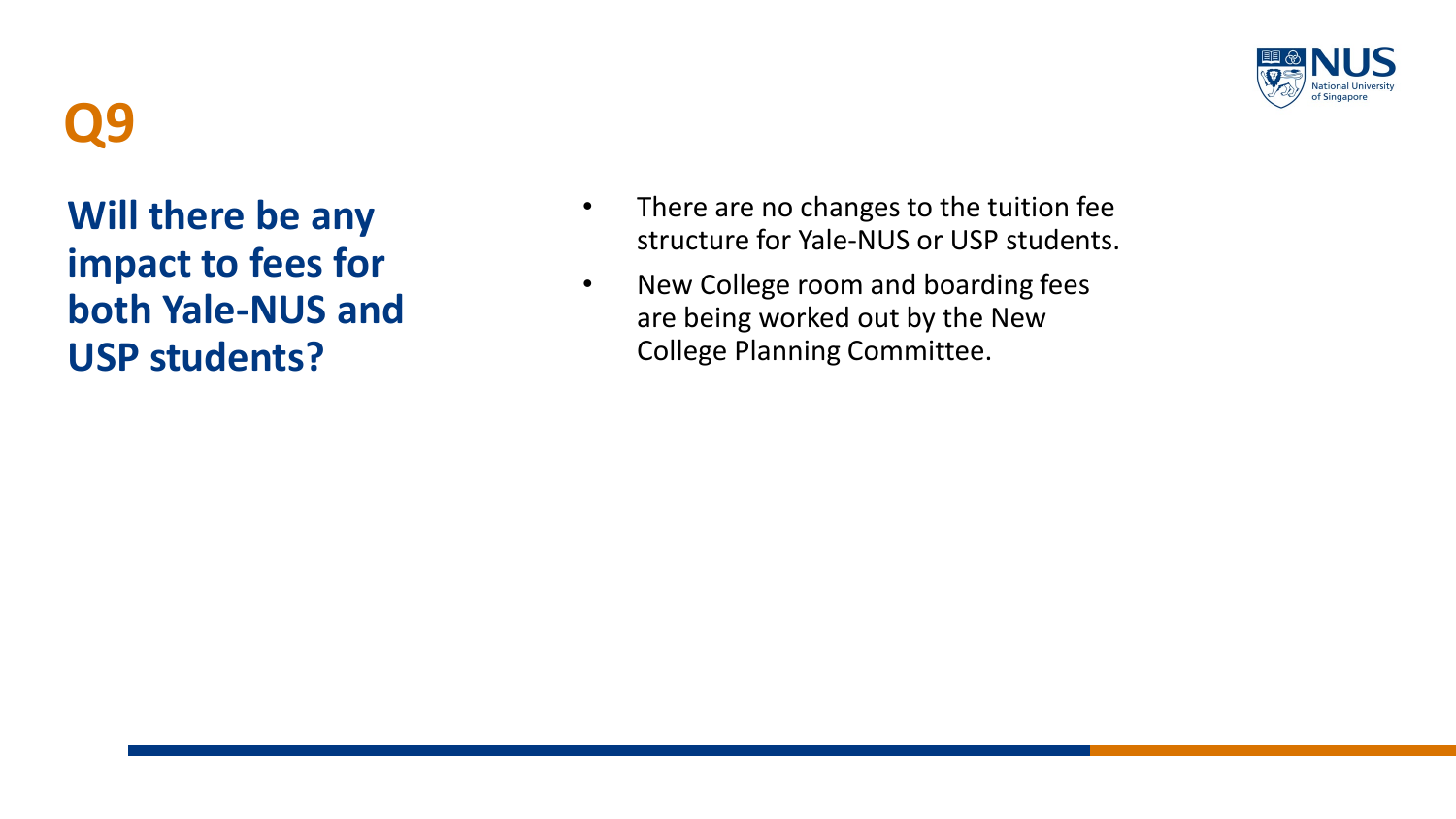

**Will there be any impact to fees for both Yale -NUS and USP students?**

- There are no changes to the tuition fee structure for Yale -NUS or USP students.
- New College room and boarding fees are being worked out by the New College Planning Committee.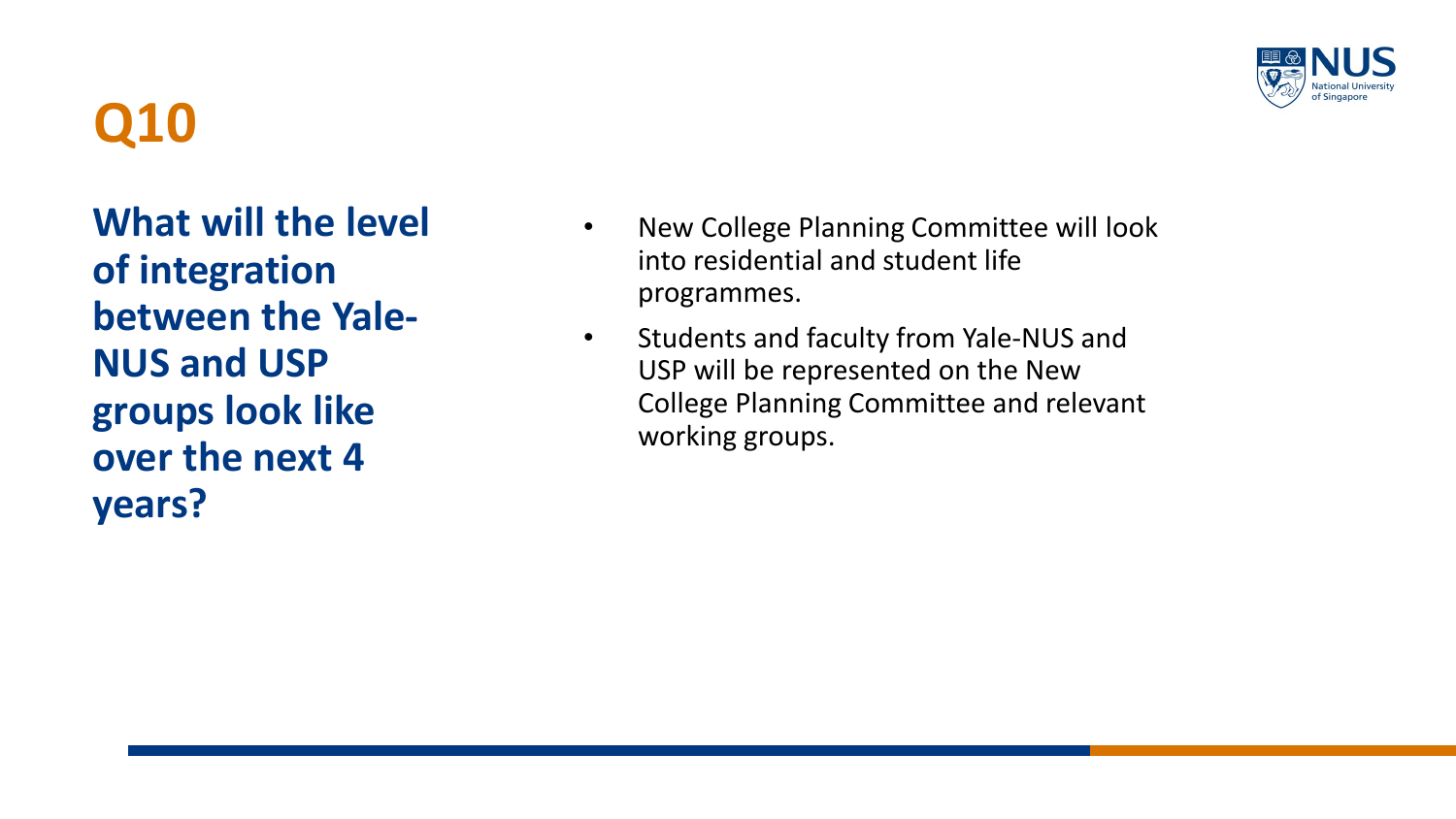

**What will the level of integration between the Yale-NUS and USP groups look like over the next 4 years?**

- New College Planning Committee will look into residential and student life programmes.
- Students and faculty from Yale-NUS and USP will be represented on the New College Planning Committee and relevant working groups.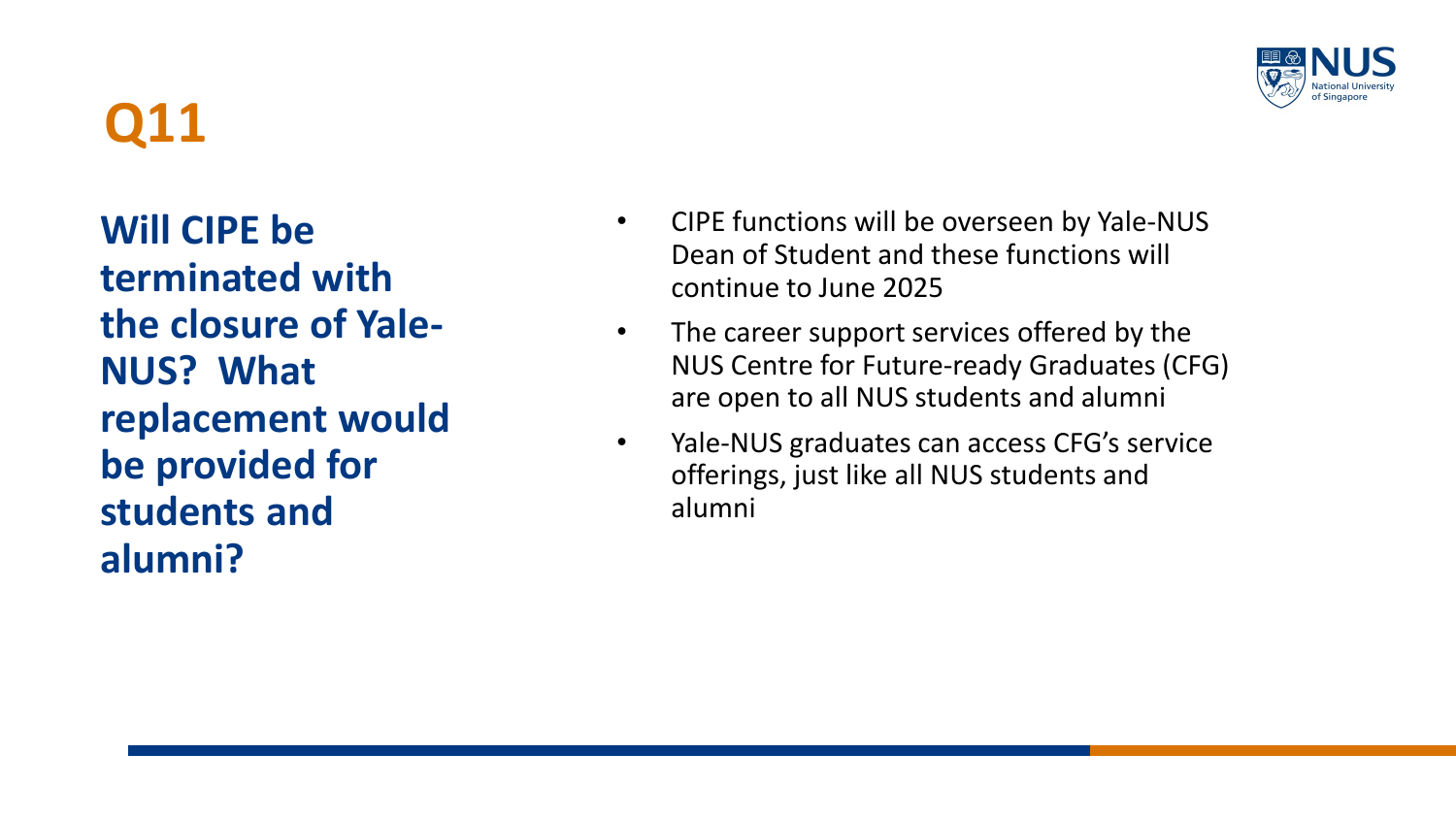

**Will CIPE be terminated with the closure of Yale-NUS? What replacement would be provided for students and alumni?**

- CIPE functions will be overseen by Yale-NUS Dean of Student and these functions will continue to June 2025
- The career support services offered by the NUS Centre for Future-ready Graduates (CFG) are open to all NUS students and alumni
- Yale-NUS graduates can access CFG's service offerings, just like all NUS students and alumni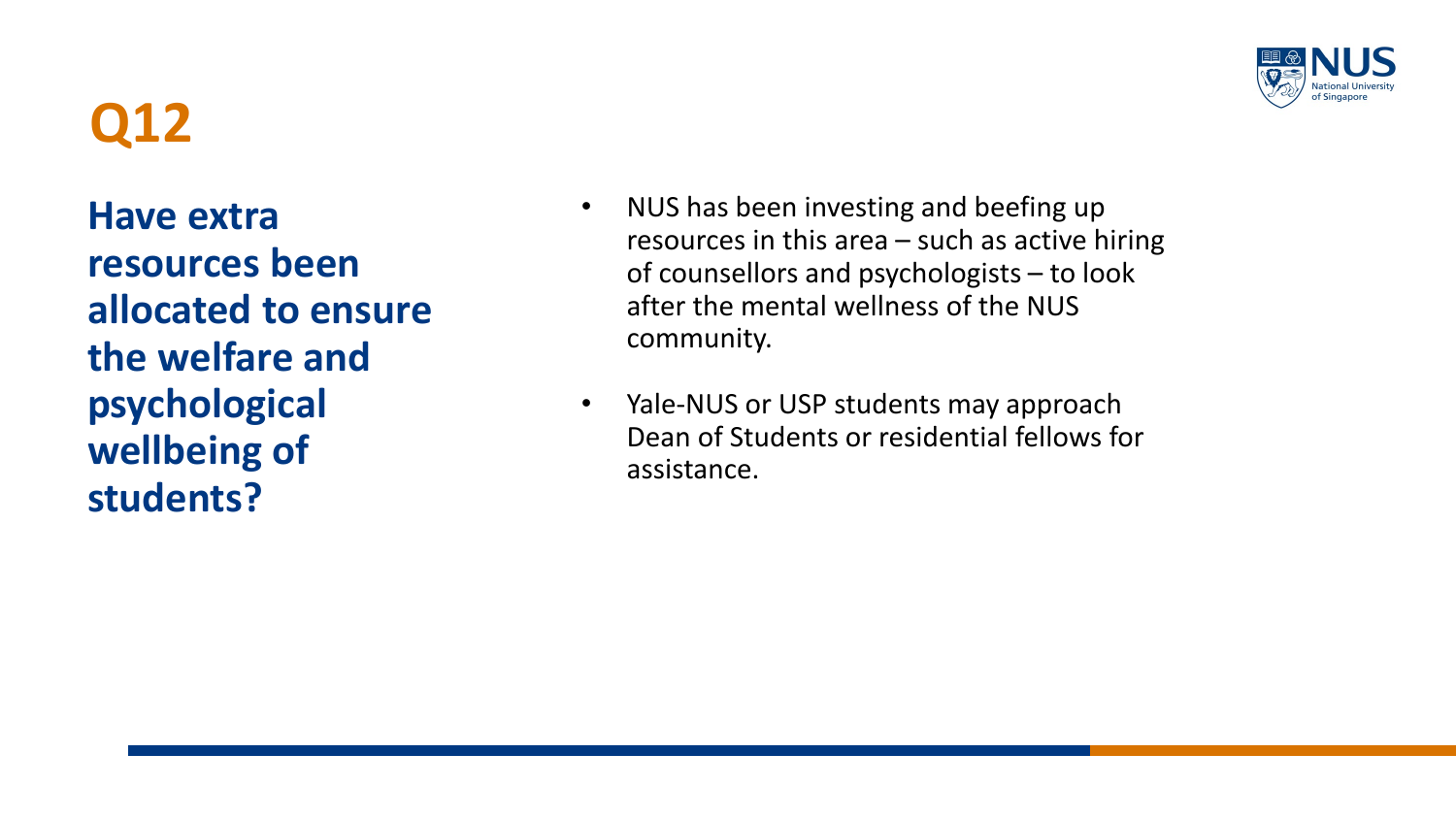**Have extra resources been allocated to ensure the welfare and psychological wellbeing of students?** 



- NUS has been investing and beefing up resources in this area – such as active hiring of counsellors and psychologists – to look after the mental wellness of the NUS community.
- Yale-NUS or USP students may approach Dean of Students or residential fellows for assistance.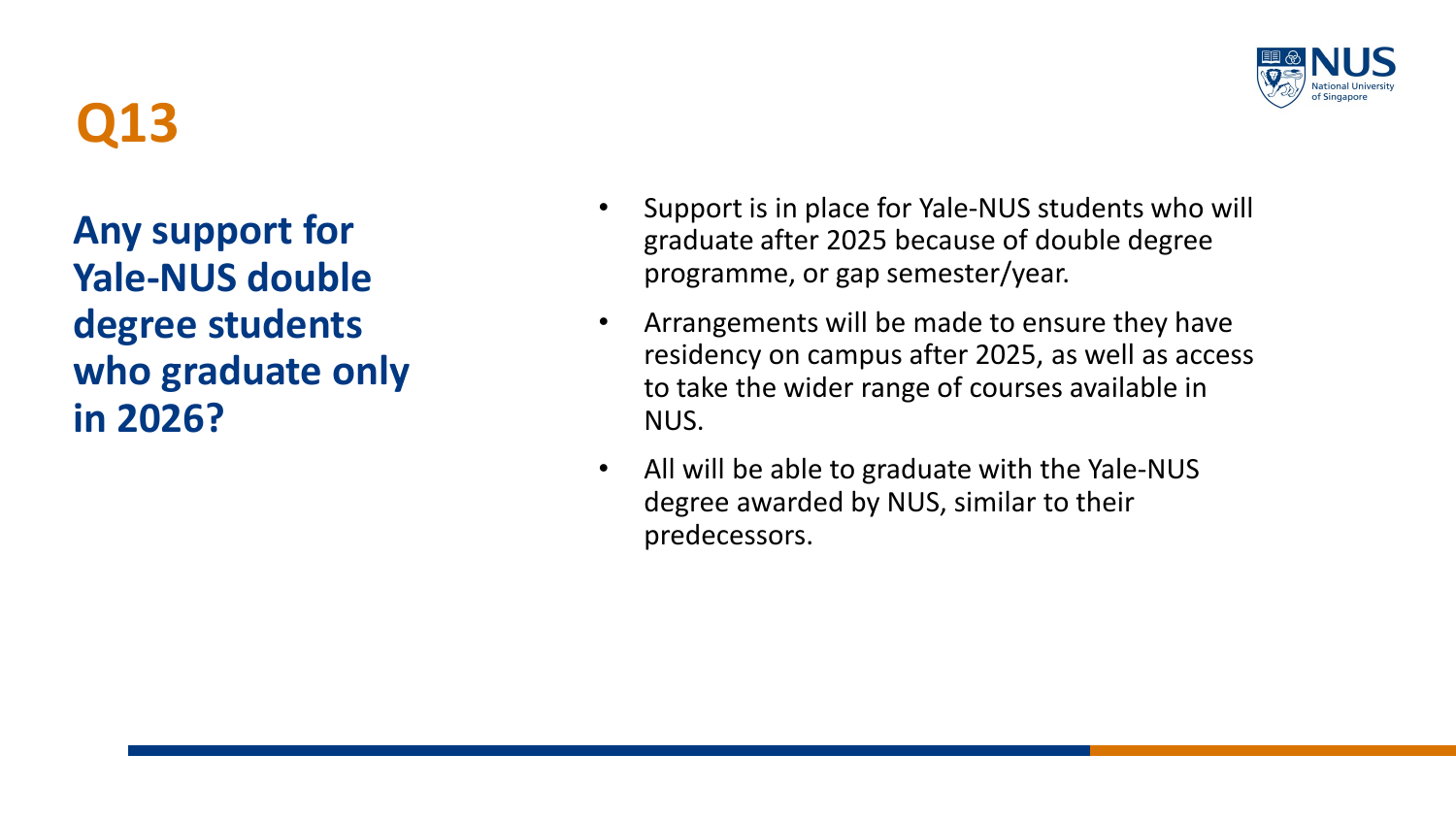**Any support for Yale-NUS double degree students who graduate only in 2026?**



- Support is in place for Yale-NUS students who will graduate after 2025 because of double degree programme, or gap semester/year.
- Arrangements will be made to ensure they have residency on campus after 2025, as well as access to take the wider range of courses available in NUS.
- All will be able to graduate with the Yale-NUS degree awarded by NUS, similar to their predecessors.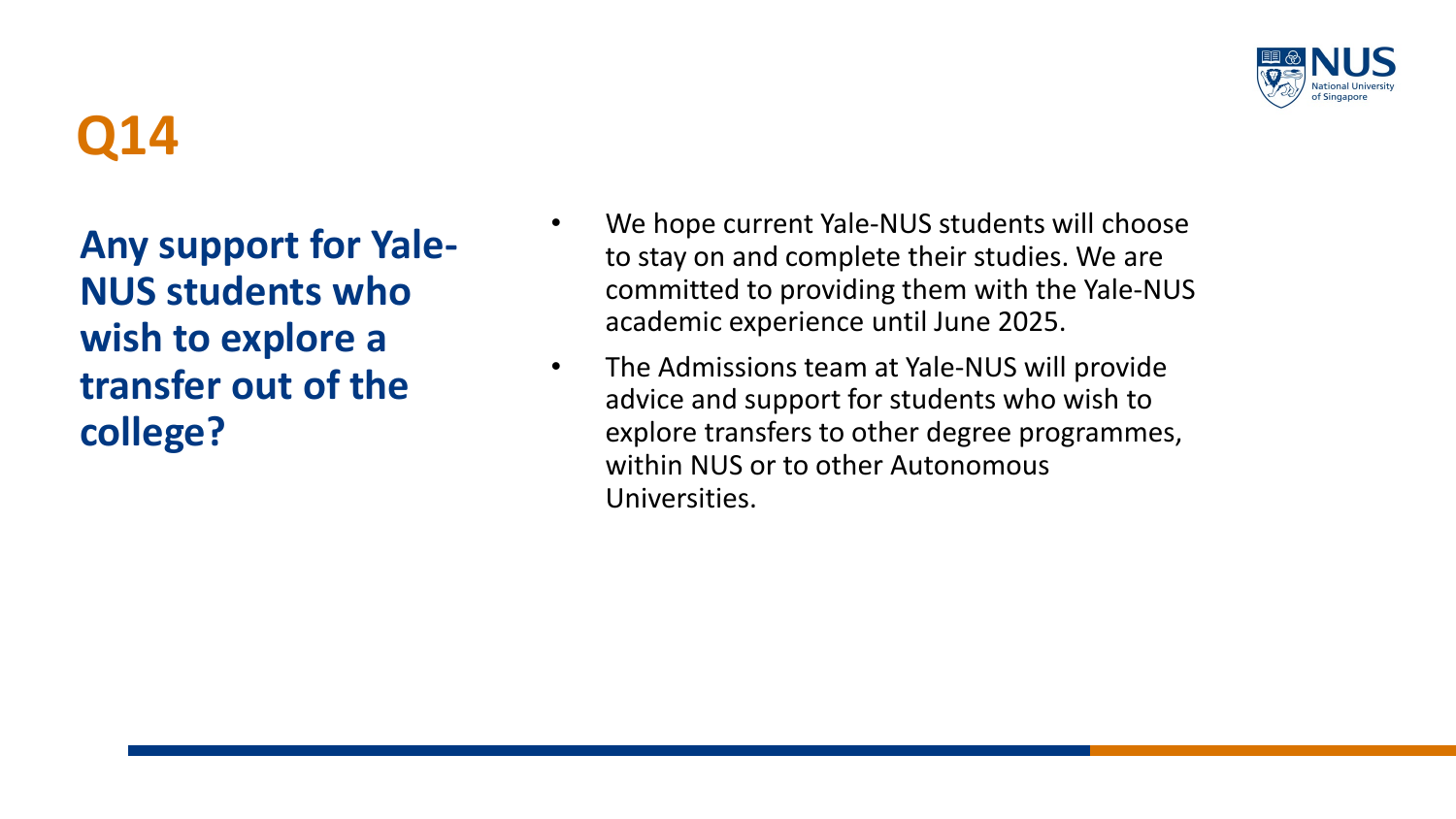

**Any support for Yale-NUS students who wish to explore a transfer out of the college?**

- We hope current Yale-NUS students will choose to stay on and complete their studies. We are committed to providing them with the Yale-NUS academic experience until June 2025.
- The Admissions team at Yale-NUS will provide advice and support for students who wish to explore transfers to other degree programmes, within NUS or to other Autonomous Universities.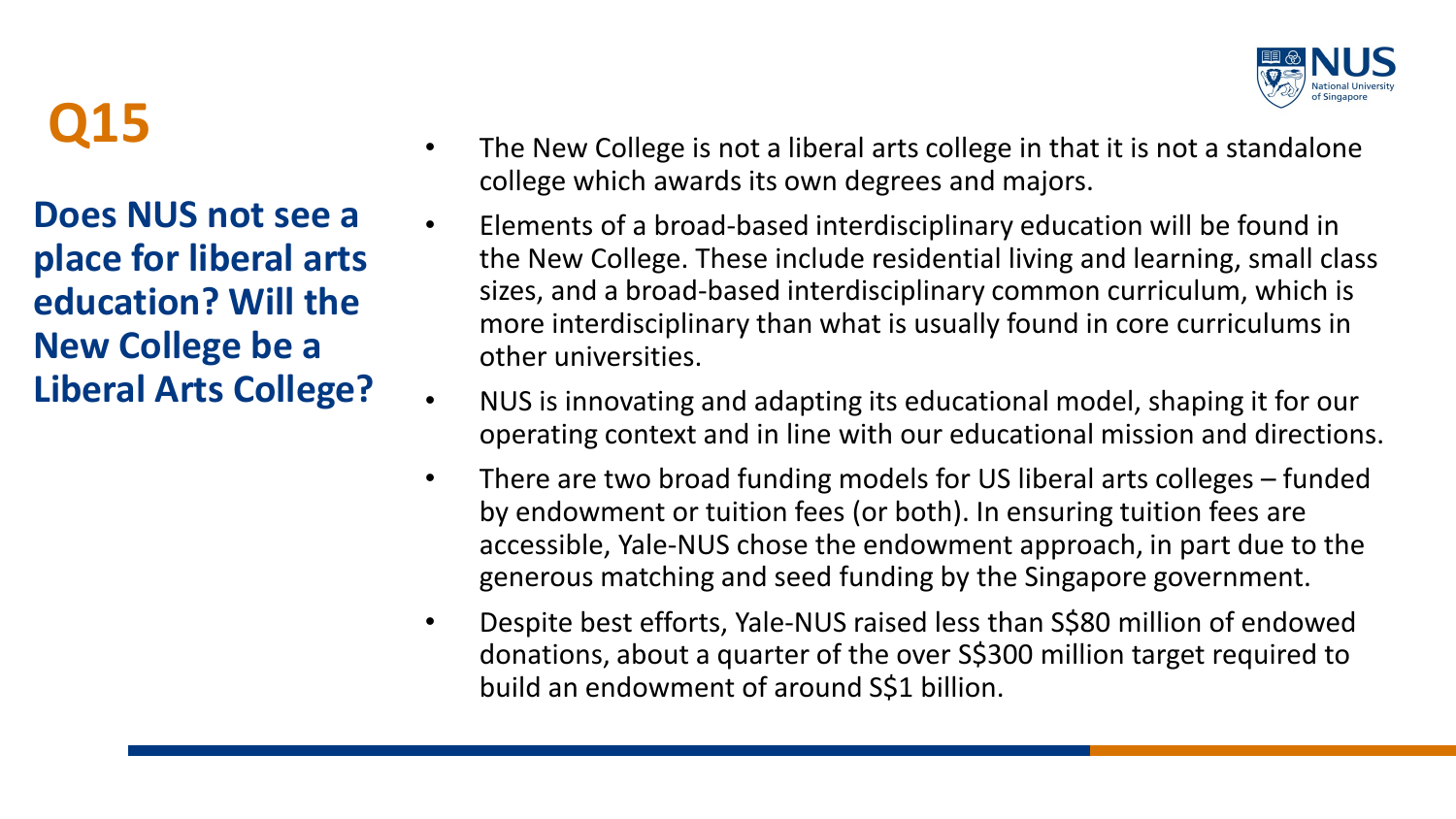

**Does NUS not see a place for liberal arts education? Will the New College be a Liberal Arts College?**

- The New College is not a liberal arts college in that it is not a standalone college which awards its own degrees and majors.
- Elements of a broad-based interdisciplinary education will be found in the New College. These include residential living and learning, small class sizes, and a broad-based interdisciplinary common curriculum, which is more interdisciplinary than what is usually found in core curriculums in other universities.
- NUS is innovating and adapting its educational model, shaping it for our operating context and in line with our educational mission and directions.
- There are two broad funding models for US liberal arts colleges funded by endowment or tuition fees (or both). In ensuring tuition fees are accessible, Yale-NUS chose the endowment approach, in part due to the generous matching and seed funding by the Singapore government.
- Despite best efforts, Yale-NUS raised less than S\$80 million of endowed donations, about a quarter of the over S\$300 million target required to build an endowment of around S\$1 billion.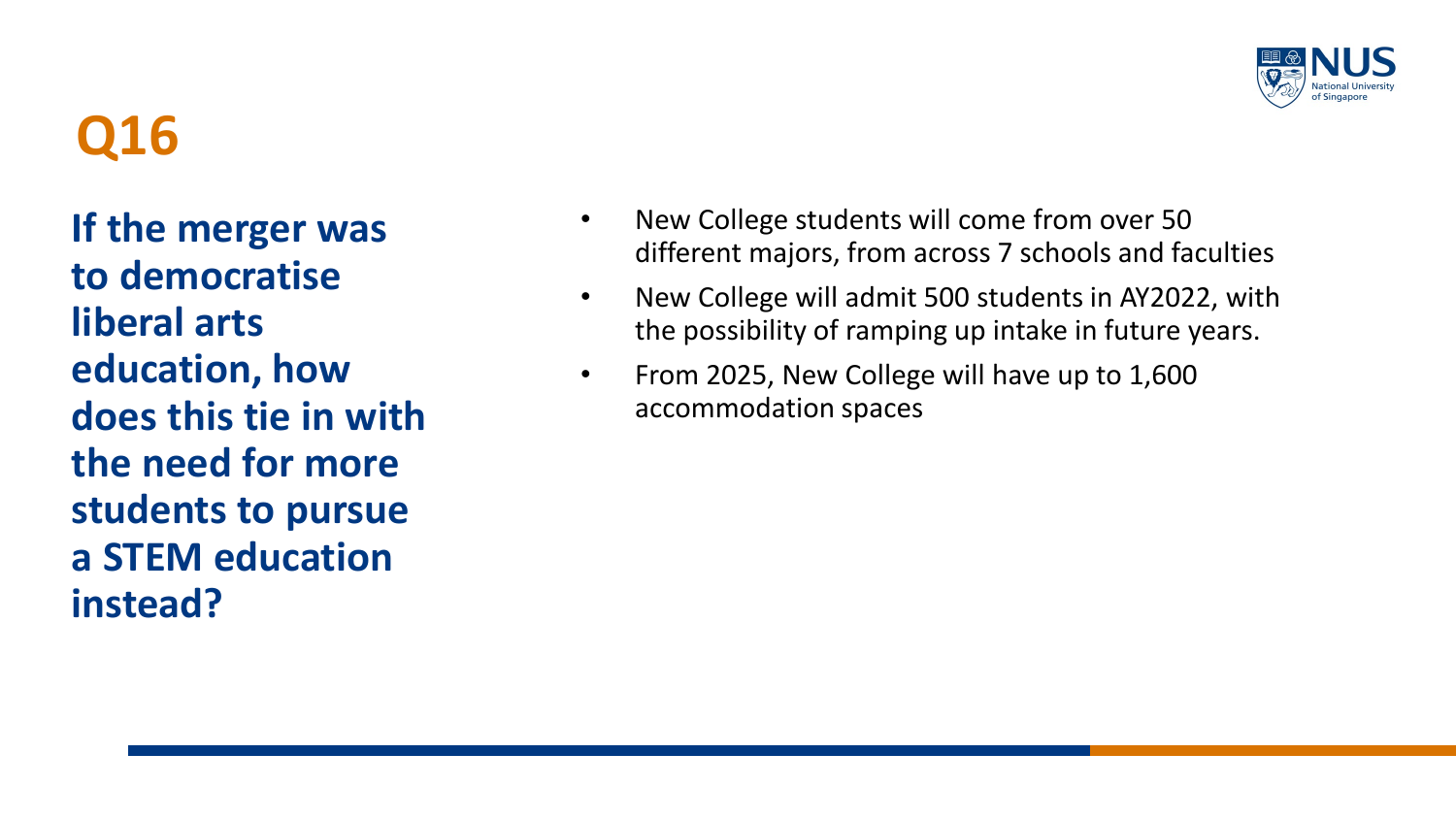

**If the merger was to democratise liberal arts education, how does this tie in with the need for more students to pursue a STEM education instead?**

- New College students will come from over 50 different majors, from across 7 schools and faculties
- New College will admit 500 students in AY2022, with the possibility of ramping up intake in future years.
- From 2025, New College will have up to 1,600 accommodation spaces